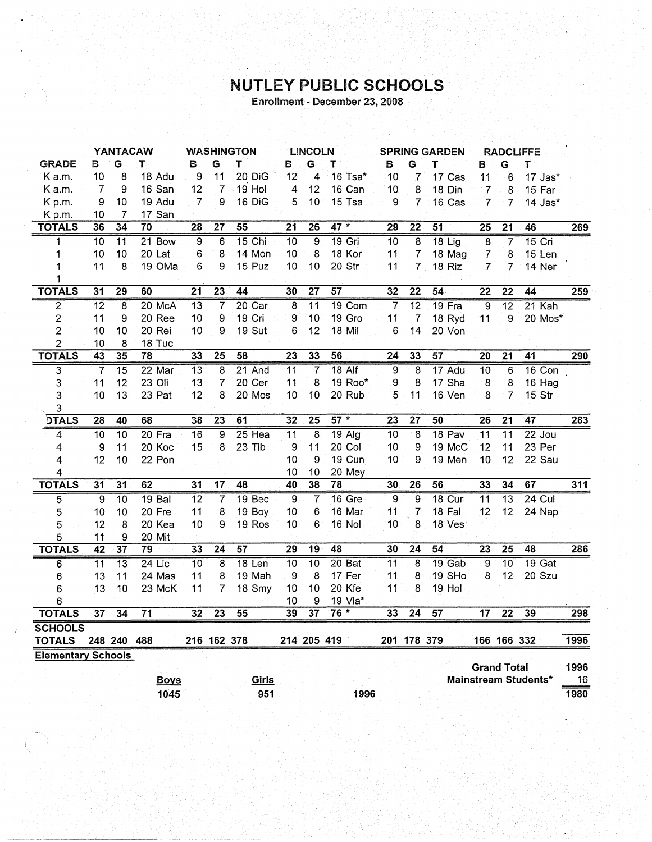## NUTLEY PUBLIC SCHOOLS

Enrollment - December 23, 2008

|                           |                 | <b>YANTACAW</b> |                   | <b>WASHINGTON</b><br><b>LINCOLN</b> |                 |                 | <b>SPRING GARDEN</b> |                 |               | <b>RADCLIFFE</b> |                 |                 |                    |                 |                      |      |
|---------------------------|-----------------|-----------------|-------------------|-------------------------------------|-----------------|-----------------|----------------------|-----------------|---------------|------------------|-----------------|-----------------|--------------------|-----------------|----------------------|------|
| <b>GRADE</b>              | В               | G               | т                 | В                                   | G               | Т               | В                    | Ġ               | T             | B                | Ġ               | т               | в                  | G               | T                    |      |
| K a.m.                    | 10              | 8               | 18 Adu            | 9                                   | 11              | 20 DiG          | 12                   | 4               | 16 Tsa*       | 10               | 7               | 17 Cas          | 11                 | 6               | 17 Jas*              |      |
| K a.m.                    | 7               | 9               | 16 San            | 12                                  | $\overline{7}$  | 19 Hol          | $\overline{4}$       | 12              | 16 Can        | 10               | 8               | 18 Din          | $\overline{7}$     | 8               | 15 Far               |      |
| Kp.m.                     | 9               | 10              | 19 Adu            | $\overline{7}$                      | 9               | 16 DiG          | 5                    | 10              | 15 Tsa        | 9                | $\overline{7}$  | 16 Cas          | $\overline{7}$     | $\overline{7}$  | 14 Jas*              |      |
| Kp.m.                     | 10              | 7               | 17 San            |                                     |                 |                 |                      |                 |               |                  |                 |                 |                    |                 |                      |      |
| <b>TOTALS</b>             | 36              | 34              | 70                | 28                                  | $\overline{27}$ | 55              | $\overline{21}$      | 26              | $47 *$        | $\overline{29}$  | $\overline{22}$ | $\overline{51}$ | $\overline{25}$    | $\overline{21}$ | 46                   | 269  |
| 1                         | $\overline{10}$ | $\overline{11}$ | 21 Bow            | 9                                   | 6               | 15 Chi          | $\overline{10}$      | $\overline{9}$  | $19$ Gri      | 10               | $\overline{8}$  | $18$ Lig        | $\overline{8}$     | 7               | $15$ Cri             |      |
| 1                         | 10              | 10              | 20 Lat            | 6                                   | 8               | 14 Mon          | 10                   | 8               | 18 Kor        | 11               | 7               | 18 Mag          | $\overline{7}$     | 8               | 15 Len               |      |
| 1                         | 11              | 8               | 19 OMa            | 6                                   | 9               | 15 Puz          | 10                   | 10              | 20 Str        | 11               | $\overline{7}$  | 18 Riz          | $\overline{7}$     | 7               | 14 Ner               |      |
| 1                         |                 |                 |                   |                                     |                 |                 |                      |                 |               |                  |                 |                 |                    |                 |                      |      |
| <b>TOTALS</b>             | 31              | 29              | 60                | $\overline{21}$                     | 23              | $\overline{44}$ | 30                   | $\overline{27}$ | 57            | 32               | $\overline{22}$ | 54              | $\overline{22}$    | $\overline{22}$ | 44                   | 259  |
| $\overline{2}$            | $\overline{12}$ | 8               | 20 McA            | $\overline{13}$                     | 7               | $20$ Car        | $\overline{8}$       | $\overline{11}$ | 19 Com        | 7                | $\overline{12}$ | 19 Fra          | $\overline{9}$     | $\overline{12}$ | 21 Kah               |      |
| $\overline{\mathbf{c}}$   | 11              | 9               | 20 Ree            | 10                                  | 9               | 19 Cri          | 9                    | 10              | 19 Gro        | 11               | $\overline{7}$  | 18 Ryd          | 11                 | 9               | 20 Mos*              |      |
| $\overline{c}$            | 10              | 10              | 20 Rei            | 10                                  | 9               | 19 Sut          | 6                    | 12              | 18 Mil        | 6                | 14              | 20 Von          |                    |                 |                      |      |
| $\overline{2}$            | 10              | 8               | 18 Tuc            |                                     |                 |                 |                      |                 |               |                  |                 |                 |                    |                 |                      |      |
| <b>TOTALS</b>             | 43              | $\overline{35}$ | 78                | 33                                  | $\overline{25}$ | 58              | $\overline{23}$      | 33              | 56            | $\overline{24}$  | 33              | $\overline{57}$ | $\overline{20}$    | $\overline{21}$ | 41                   | 290  |
| 3                         | 7               | $\overline{15}$ | 22 Mar            | $\overline{13}$                     | 8               | 21 And          | 11                   | $\overline{7}$  | $18$ Alf      | $\overline{9}$   | 8               | 17 Adu          | 10                 | 6               | 16 Con               |      |
| 3                         | 11              | 12              | 23 Oli            | 13                                  | 7               | 20 Cer          | 11                   | 8               | 19 Roo*       | 9                | 8               | 17 Sha          | 8                  | 8               | 16 Hag               |      |
| 3                         | 10              | 13              | 23 Pat            | 12                                  | 8               | 20 Mos          | 10                   | 10              | 20 Rub        | 5                | 11              | 16 Ven          | 8                  | $\overline{7}$  | 15 Str               |      |
| 3                         |                 |                 |                   |                                     |                 |                 |                      |                 |               |                  |                 |                 |                    |                 |                      |      |
| <b>DTALS</b>              | 28              | 40              | 68                | 38                                  | $\overline{23}$ | 61              | 32                   | 25              | $57*$         | $\overline{23}$  | $\overline{27}$ | 50              | $\overline{26}$    | $\overline{21}$ | $\overline{47}$      | 283  |
| 4                         | 10              | $\overline{10}$ | $20$ Fra          | $\overline{16}$                     | 9               | $25$ Hea        | $\overline{11}$      | $\overline{8}$  | $19$ Alg      | $\overline{10}$  | 8               | 18 Pav          | $\overline{11}$    | $\overline{11}$ | $22$ Jou             |      |
| 4                         | 9               | 11              | 20 Koc            | 15                                  | 8               | 23 Tib          | 9                    | 11              | 20 Col        | 10               | 9               | 19 McC          | 12                 | 11              | 23 Per               |      |
| 4                         | 12              | 10              | 22 Pon            |                                     |                 |                 | 10                   | 9               | <b>19 Cun</b> | 10               | 9               | 19 Men          | 10                 | 12              | 22 Sau               |      |
| 4                         |                 |                 |                   |                                     |                 |                 | 10                   | 10              | 20 Mey        |                  |                 |                 |                    |                 |                      |      |
| <b>TOTALS</b>             | 31              | $\overline{31}$ | 62                | $\overline{31}$                     | $\overline{17}$ | 48              | 40                   | $\overline{38}$ | 78            | 30               | 26              | 56              | 33                 | 34              | 67                   | 311  |
| 5                         | $\overline{9}$  | $\overline{10}$ | 19 <sub>Bal</sub> | $\overline{12}$                     | 7               | 19 Bec          | 9                    | $\overline{7}$  | $16$ Gre      | 9                | 9               | 18 Cur          | $\overline{11}$    | $\overline{13}$ | $24$ Cul             |      |
| 5                         | 10              | 10              | 20 Fre            | 11                                  | 8               | 19 Boy          | 10                   | 6               | 16 Mar        | 11               | 7               | 18 Fal          | 12                 | 12              | 24 Nap               |      |
| 5                         | 12              | 8               | 20 Kea            | 10                                  | 9               | 19 Ros          | 10                   | 6               | <b>16 Nol</b> | 10               | 8               | 18 Ves          |                    |                 |                      |      |
| 5                         | 11              | 9               | 20 Mit            |                                     |                 |                 |                      |                 |               |                  |                 |                 |                    |                 |                      |      |
| <b>TOTALS</b>             | $\overline{42}$ | $\overline{37}$ | 79                | 33                                  | $\overline{24}$ | $\overline{57}$ | 29                   | $\overline{19}$ | 48            | 30               | 24              | $\overline{54}$ | 23                 | 25              | 48                   | 286  |
| $\overline{6}$            | $\overline{11}$ | $\overline{13}$ | $24$ Lic          | $\overline{10}$                     | 8               | $18$ Len        | $\overline{10}$      | 10              | 20Bat         | $\overline{11}$  | 8               | $19$ Gab        | $\overline{9}$     | $\overline{10}$ | $19$ Gat             |      |
| 6                         | 13              | 11              | 24 Mas            | 11                                  | 8               | 19 Mah          | 9                    | 8               | 17 Fer        | 11               | 8               | 19 SHo          | 8                  | 12              | 20 Szu               |      |
| 6                         | 13              | 10              | 23 McK            | 11                                  | 7               | 18 Smy          | 10                   | 10              | 20 Kfe        | 11               | 8               | 19 Hol          |                    |                 |                      |      |
| 6                         |                 |                 |                   |                                     |                 |                 | 10                   | 9               | 19 Vla*       |                  |                 |                 |                    |                 |                      |      |
| <b>TOTALS</b>             | 37              | 34              | $\overline{71}$   | 32                                  | $\overline{23}$ | $\overline{55}$ | 39                   | 37              | $76*$         | 33               | $\overline{24}$ | $\overline{57}$ | $\overline{17}$    | $\overline{22}$ | 39                   | 298  |
| <b>SCHOOLS</b>            |                 |                 |                   |                                     |                 |                 |                      |                 |               |                  |                 |                 |                    |                 |                      |      |
| <b>TOTALS</b>             |                 | 248 240         | 488               |                                     | 216 162 378     |                 | 214 205 419          |                 |               | 201 178 379      |                 |                 |                    | 166 166 332     |                      | 1996 |
| <b>Elementary Schools</b> |                 |                 |                   |                                     |                 |                 |                      |                 |               |                  |                 |                 |                    |                 |                      |      |
|                           |                 |                 |                   |                                     |                 |                 |                      |                 |               |                  |                 |                 | <b>Grand Total</b> |                 |                      | 1996 |
|                           |                 |                 | <b>Boys</b>       |                                     |                 | Girls           |                      |                 |               |                  |                 |                 |                    |                 | Mainstream Students* | 16   |
|                           |                 |                 | 1045              |                                     |                 | 951             |                      |                 | 1996          |                  |                 |                 |                    |                 |                      | 1980 |